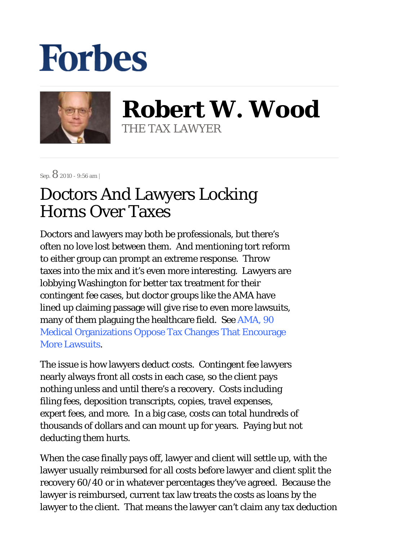## **Forbes**



**Robert W. Wood** THE TAX LAWYER

Sep.  $8$  2010 - 9:56 am |

## Doctors And Lawyers Locking Horns Over Taxes

Doctors and lawyers may both be professionals, but there's often no love lost between them. And mentioning tort reform to either group can prompt an extreme response. Throw taxes into the mix and it's even more interesting. Lawyers are lobbying Washington for better tax treatment for their contingent fee cases, but doctor groups like the AMA have lined up claiming passage will give rise to even more lawsuits, many of them plaguing the healthcare field. See AMA, 90 Medical Organizations Oppose Tax Changes That Encourage More Lawsuits.

The issue is how lawyers deduct costs. Contingent fee lawyers nearly always front all costs in each case, so the client pays nothing unless and until there's a recovery. Costs including filing fees, deposition transcripts, copies, travel expenses, expert fees, and more. In a big case, costs can total hundreds of thousands of dollars and can mount up for years. Paying but not deducting them hurts.

When the case finally pays off, lawyer and client will settle up, with the lawyer usually reimbursed for all costs before lawyer and client split the recovery 60/40 or in whatever percentages they've agreed. Because the lawyer is reimbursed, current tax law treats the costs as loans by the lawyer to the client. That means the lawyer can't claim any tax deduction